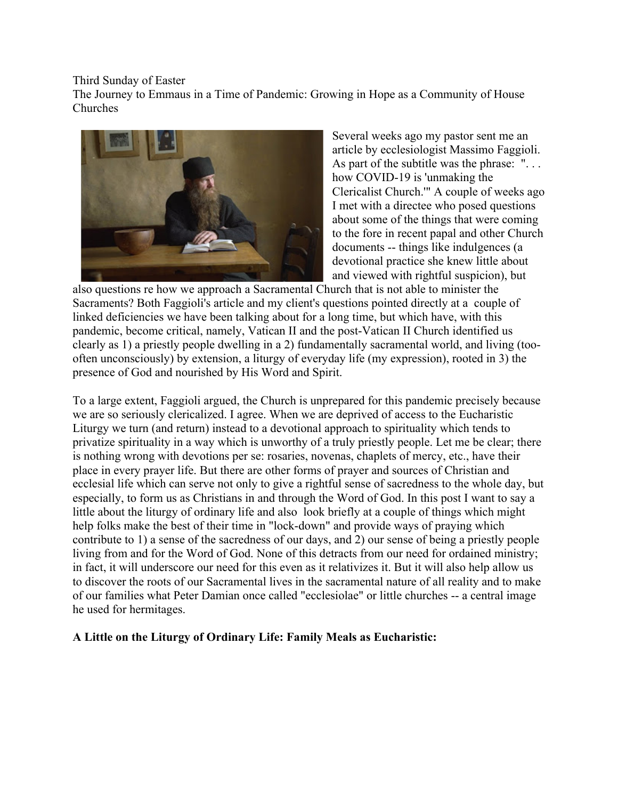Third Sunday of Easter

The Journey to Emmaus in a Time of Pandemic: Growing in Hope as a Community of House Churches



Several weeks ago my pastor sent me an article by ecclesiologist Massimo Faggioli. As part of the subtitle was the phrase: "... how COVID-19 is 'unmaking the Clericalist Church.'" A couple of weeks ago I met with a directee who posed questions about some of the things that were coming to the fore in recent papal and other Church documents -- things like indulgences (a devotional practice she knew little about and viewed with rightful suspicion), but

also questions re how we approach a Sacramental Church that is not able to minister the Sacraments? Both Faggioli's article and my client's questions pointed directly at a couple of linked deficiencies we have been talking about for a long time, but which have, with this pandemic, become critical, namely, Vatican II and the post-Vatican II Church identified us clearly as 1) a priestly people dwelling in a 2) fundamentally sacramental world, and living (toooften unconsciously) by extension, a liturgy of everyday life (my expression), rooted in 3) the presence of God and nourished by His Word and Spirit.

To a large extent, Faggioli argued, the Church is unprepared for this pandemic precisely because we are so seriously clericalized. I agree. When we are deprived of access to the Eucharistic Liturgy we turn (and return) instead to a devotional approach to spirituality which tends to privatize spirituality in a way which is unworthy of a truly priestly people. Let me be clear; there is nothing wrong with devotions per se: rosaries, novenas, chaplets of mercy, etc., have their place in every prayer life. But there are other forms of prayer and sources of Christian and ecclesial life which can serve not only to give a rightful sense of sacredness to the whole day, but especially, to form us as Christians in and through the Word of God. In this post I want to say a little about the liturgy of ordinary life and also look briefly at a couple of things which might help folks make the best of their time in "lock-down" and provide ways of praying which contribute to 1) a sense of the sacredness of our days, and 2) our sense of being a priestly people living from and for the Word of God. None of this detracts from our need for ordained ministry; in fact, it will underscore our need for this even as it relativizes it. But it will also help allow us to discover the roots of our Sacramental lives in the sacramental nature of all reality and to make of our families what Peter Damian once called "ecclesiolae" or little churches -- a central image he used for hermitages.

# **A Little on the Liturgy of Ordinary Life: Family Meals as Eucharistic:**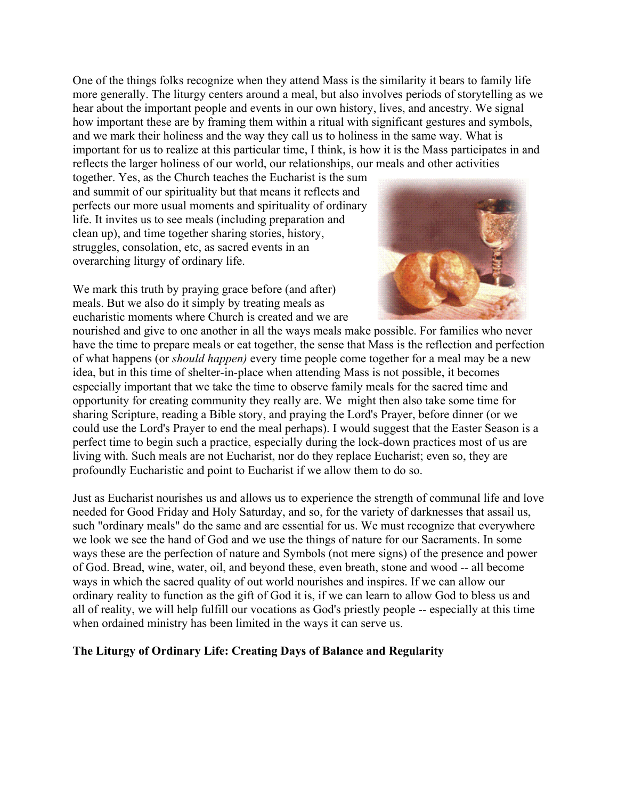One of the things folks recognize when they attend Mass is the similarity it bears to family life more generally. The liturgy centers around a meal, but also involves periods of storytelling as we hear about the important people and events in our own history, lives, and ancestry. We signal how important these are by framing them within a ritual with significant gestures and symbols, and we mark their holiness and the way they call us to holiness in the same way. What is important for us to realize at this particular time, I think, is how it is the Mass participates in and reflects the larger holiness of our world, our relationships, our meals and other activities

together. Yes, as the Church teaches the Eucharist is the sum and summit of our spirituality but that means it reflects and perfects our more usual moments and spirituality of ordinary life. It invites us to see meals (including preparation and clean up), and time together sharing stories, history, struggles, consolation, etc, as sacred events in an overarching liturgy of ordinary life.



We mark this truth by praying grace before (and after) meals. But we also do it simply by treating meals as eucharistic moments where Church is created and we are

nourished and give to one another in all the ways meals make possible. For families who never have the time to prepare meals or eat together, the sense that Mass is the reflection and perfection of what happens (or *should happen)* every time people come together for a meal may be a new idea, but in this time of shelter-in-place when attending Mass is not possible, it becomes especially important that we take the time to observe family meals for the sacred time and opportunity for creating community they really are. We might then also take some time for sharing Scripture, reading a Bible story, and praying the Lord's Prayer, before dinner (or we could use the Lord's Prayer to end the meal perhaps). I would suggest that the Easter Season is a perfect time to begin such a practice, especially during the lock-down practices most of us are living with. Such meals are not Eucharist, nor do they replace Eucharist; even so, they are profoundly Eucharistic and point to Eucharist if we allow them to do so.

Just as Eucharist nourishes us and allows us to experience the strength of communal life and love needed for Good Friday and Holy Saturday, and so, for the variety of darknesses that assail us, such "ordinary meals" do the same and are essential for us. We must recognize that everywhere we look we see the hand of God and we use the things of nature for our Sacraments. In some ways these are the perfection of nature and Symbols (not mere signs) of the presence and power of God. Bread, wine, water, oil, and beyond these, even breath, stone and wood -- all become ways in which the sacred quality of out world nourishes and inspires. If we can allow our ordinary reality to function as the gift of God it is, if we can learn to allow God to bless us and all of reality, we will help fulfill our vocations as God's priestly people -- especially at this time when ordained ministry has been limited in the ways it can serve us.

# **The Liturgy of Ordinary Life: Creating Days of Balance and Regularity**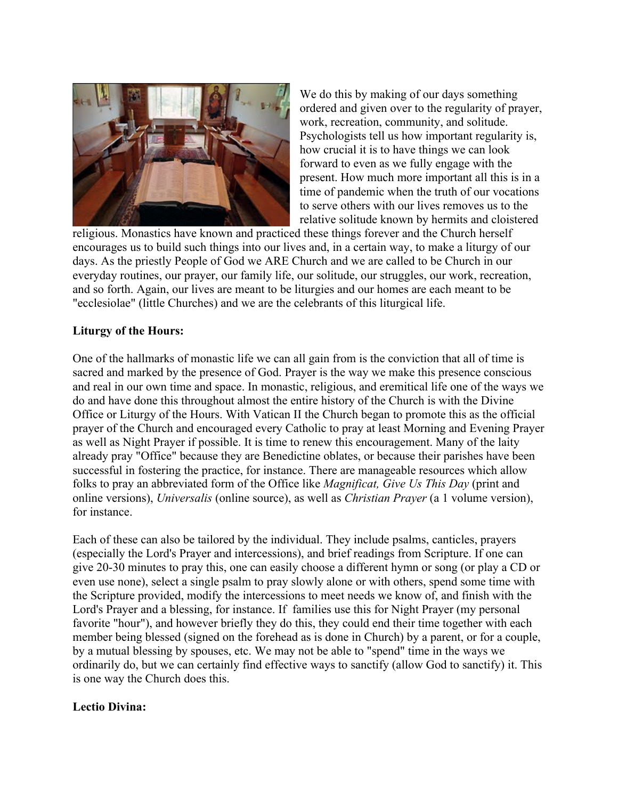

We do this by making of our days something ordered and given over to the regularity of prayer, work, recreation, community, and solitude. Psychologists tell us how important regularity is, how crucial it is to have things we can look forward to even as we fully engage with the present. How much more important all this is in a time of pandemic when the truth of our vocations to serve others with our lives removes us to the relative solitude known by hermits and cloistered

religious. Monastics have known and practiced these things forever and the Church herself encourages us to build such things into our lives and, in a certain way, to make a liturgy of our days. As the priestly People of God we ARE Church and we are called to be Church in our everyday routines, our prayer, our family life, our solitude, our struggles, our work, recreation, and so forth. Again, our lives are meant to be liturgies and our homes are each meant to be "ecclesiolae" (little Churches) and we are the celebrants of this liturgical life.

### **Liturgy of the Hours:**

One of the hallmarks of monastic life we can all gain from is the conviction that all of time is sacred and marked by the presence of God. Prayer is the way we make this presence conscious and real in our own time and space. In monastic, religious, and eremitical life one of the ways we do and have done this throughout almost the entire history of the Church is with the Divine Office or Liturgy of the Hours. With Vatican II the Church began to promote this as the official prayer of the Church and encouraged every Catholic to pray at least Morning and Evening Prayer as well as Night Prayer if possible. It is time to renew this encouragement. Many of the laity already pray "Office" because they are Benedictine oblates, or because their parishes have been successful in fostering the practice, for instance. There are manageable resources which allow folks to pray an abbreviated form of the Office like *Magnificat, Give Us This Day* (print and online versions), *Universalis* (online source), as well as *Christian Prayer* (a 1 volume version), for instance.

Each of these can also be tailored by the individual. They include psalms, canticles, prayers (especially the Lord's Prayer and intercessions), and brief readings from Scripture. If one can give 20-30 minutes to pray this, one can easily choose a different hymn or song (or play a CD or even use none), select a single psalm to pray slowly alone or with others, spend some time with the Scripture provided, modify the intercessions to meet needs we know of, and finish with the Lord's Prayer and a blessing, for instance. If families use this for Night Prayer (my personal favorite "hour"), and however briefly they do this, they could end their time together with each member being blessed (signed on the forehead as is done in Church) by a parent, or for a couple, by a mutual blessing by spouses, etc. We may not be able to "spend" time in the ways we ordinarily do, but we can certainly find effective ways to sanctify (allow God to sanctify) it. This is one way the Church does this.

### **Lectio Divina:**